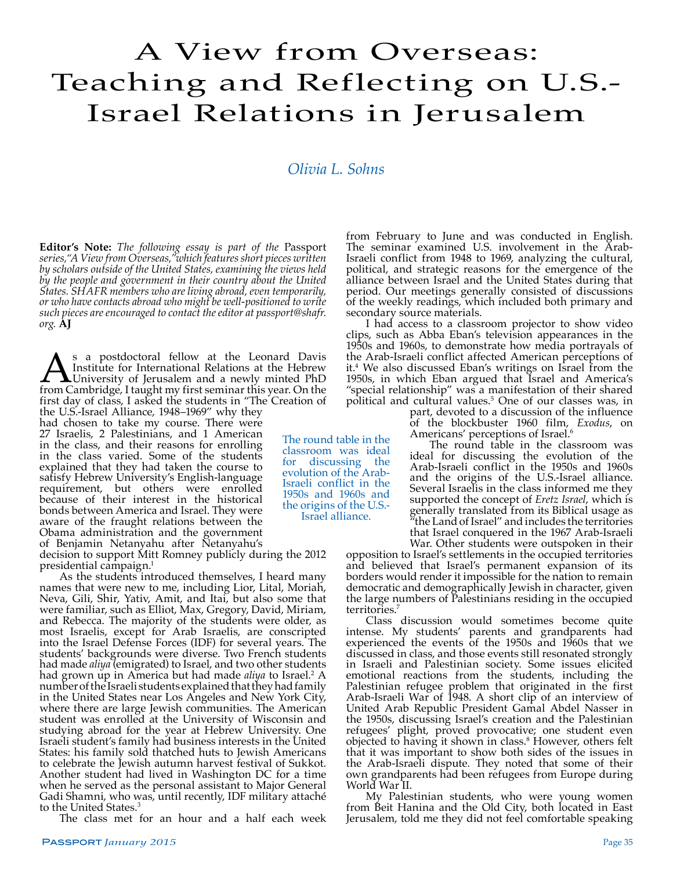## A View from Overseas: Teaching and Reflecting on U.S.- Israel Relations in Jerusalem

## *Olivia L. Sohns*

**Editor's Note:** *The following essay is part of the* Passport *series,"A View from Overseas,"which features short pieces written by scholars outside of the United States, examining the views held by the people and government in their country about the United States. SHAFR members who are living abroad, even temporarily, or who have contacts abroad who might be well-positioned to write such pieces are encouraged to contact the editor at passport@shafr. org.* **AJ**

As a postdoctoral fellow at the Leonard Davis<br>Institute for International Relations at the Hebrew<br>from Cambridge, I taught my first seminar this year. On the Institute for International Relations at the Hebrew University of Jerusalem and a newly minted PhD from Cambridge, I taught my first seminar this year. On the first day of class, I asked the students in "The Creation of

the U.S.-Israel Alliance, 1948–1969" why they had chosen to take my course. There were 27 Israelis, 2 Palestinians, and 1 American in the class, and their reasons for enrolling in the class varied. Some of the students explained that they had taken the course to satisfy Hebrew University's English-language requirement, but others were enrolled because of their interest in the historical bonds between America and Israel. They were aware of the fraught relations between the Obama administration and the government of Benjamin Netanyahu after Netanyahu's

decision to support Mitt Romney publicly during the 2012 presidential campaign.<sup>1</sup><br>As the students introduced themselves, I heard many

names that were new to me, including Lior, Lital, Moriah, Neva, Gili, Shir, Yativ, Amit, and Itai, but also some that were familiar, such as Elliot, Max, Gregory, David, Miriam, and Rebecca. The majority of the students were older, as most Israelis, except for Arab Israelis, are conscripted into the Israel Defense Forces (IDF) for several years. The students' backgrounds were diverse. Two French students had made *aliya* (emigrated) to Israel, and two other students had grown up in America but had made *aliya* to Israel.<sup>2</sup> A number of the Israeli students explained that they had family in the United States near Los Angeles and New York City, where there are large Jewish communities. The American student was enrolled at the University of Wisconsin and studying abroad for the year at Hebrew University. One Israeli student's family had business interests in the United States: his family sold thatched huts to Jewish Americans to celebrate the Jewish autumn harvest festival of Sukkot. Another student had lived in Washington DC for a time when he served as the personal assistant to Major General Gadi Shamni, who was, until recently, IDF military attaché to the United States.<sup>3</sup>

The class met for an hour and a half each week

from February to June and was conducted in English. The seminar examined U.S. involvement in the Arab-Israeli conflict from 1948 to 1969, analyzing the cultural, political, and strategic reasons for the emergence of the alliance between Israel and the United States during that period. Our meetings generally consisted of discussions of the weekly readings, which included both primary and secondary source materials.

I had access to a classroom projector to show video clips, such as Abba Eban's television appearances in the 1950s and 1960s, to demonstrate how media portrayals of the Arab-Israeli conflict affected American perceptions of it.<sup>4</sup> We also discussed Eban's writings on Israel from the 1950s, in which Eban argued that Israel and America's "special relationship" was a manifestation of their shared political and cultural values.5 One of our classes was, in

part, devoted to a discussion of the influence of the blockbuster 1960 film, *Exodus*, on Americans' perceptions of Israel.<sup>6</sup>

The round table in the classroom was ideal for discussing the evolution of the Arab-Israeli conflict in the 1950s and 1960s and the origins of the U.S.-Israel alliance. Several Israelis in the class informed me they supported the concept of *Eretz Israel*, which is generally translated from its Biblical usage as "the Land of Israel" and includes the territories that Israel conquered in the 1967 Arab-Israeli

War. Other students were outspoken in their opposition to Israel's settlements in the occupied territories and believed that Israel's permanent expansion of its borders would render it impossible for the nation to remain democratic and demographically Jewish in character, given the large numbers of Palestinians residing in the occupied territories.7

Class discussion would sometimes become quite intense. My students' parents and grandparents had experienced the events of the 1950s and 1960s that we discussed in class, and those events still resonated strongly in Israeli and Palestinian society. Some issues elicited emotional reactions from the students, including the Palestinian refugee problem that originated in the first Arab-Israeli War of 1948. A short clip of an interview of United Arab Republic President Gamal Abdel Nasser in the 1950s, discussing Israel's creation and the Palestinian refugees' plight, proved provocative; one student even objected to having it shown in class.8 However, others felt that it was important to show both sides of the issues in the Arab-Israeli dispute. They noted that some of their own grandparents had been refugees from Europe during World War II.

My Palestinian students, who were young women from Beit Hanina and the Old City, both located in East Jerusalem, told me they did not feel comfortable speaking

classroom was ideal discussing the evolution of the Arab-Israeli conflict in the 1950s and 1960s and the origins of the U.S.- Israel alliance.

The round table in the